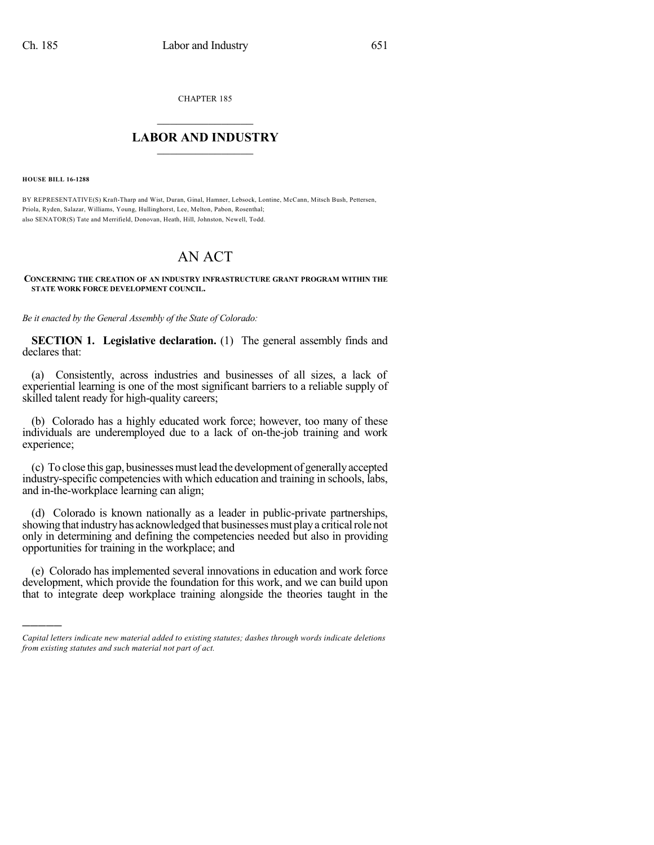CHAPTER 185

## $\mathcal{L}_\text{max}$  . The set of the set of the set of the set of the set of the set of the set of the set of the set of the set of the set of the set of the set of the set of the set of the set of the set of the set of the set **LABOR AND INDUSTRY**  $\frac{1}{\sqrt{2}}$  ,  $\frac{1}{\sqrt{2}}$  ,  $\frac{1}{\sqrt{2}}$  ,  $\frac{1}{\sqrt{2}}$  ,  $\frac{1}{\sqrt{2}}$  ,  $\frac{1}{\sqrt{2}}$

**HOUSE BILL 16-1288**

)))))

BY REPRESENTATIVE(S) Kraft-Tharp and Wist, Duran, Ginal, Hamner, Lebsock, Lontine, McCann, Mitsch Bush, Pettersen, Priola, Ryden, Salazar, Williams, Young, Hullinghorst, Lee, Melton, Pabon, Rosenthal; also SENATOR(S) Tate and Merrifield, Donovan, Heath, Hill, Johnston, Newell, Todd.

## AN ACT

**CONCERNING THE CREATION OF AN INDUSTRY INFRASTRUCTURE GRANT PROGRAM WITHIN THE STATE WORK FORCE DEVELOPMENT COUNCIL.**

*Be it enacted by the General Assembly of the State of Colorado:*

**SECTION 1. Legislative declaration.** (1) The general assembly finds and declares that:

(a) Consistently, across industries and businesses of all sizes, a lack of experiential learning is one of the most significant barriers to a reliable supply of skilled talent ready for high-quality careers;

(b) Colorado has a highly educated work force; however, too many of these individuals are underemployed due to a lack of on-the-job training and work experience;

(c) To close this gap, businessesmustlead the development of generallyaccepted industry-specific competencies with which education and training in schools, labs, and in-the-workplace learning can align;

(d) Colorado is known nationally as a leader in public-private partnerships, showing that industry has acknowledged that businesses must play a critical role not only in determining and defining the competencies needed but also in providing opportunities for training in the workplace; and

(e) Colorado has implemented several innovations in education and work force development, which provide the foundation for this work, and we can build upon that to integrate deep workplace training alongside the theories taught in the

*Capital letters indicate new material added to existing statutes; dashes through words indicate deletions from existing statutes and such material not part of act.*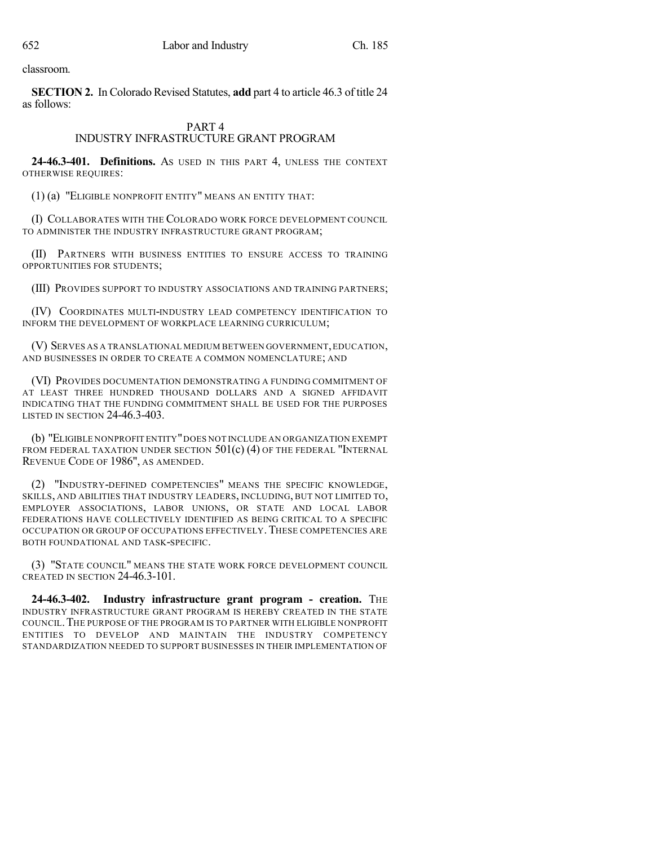classroom.

**SECTION 2.** In Colorado Revised Statutes, **add** part 4 to article 46.3 of title 24 as follows:

## PART 4

## INDUSTRY INFRASTRUCTURE GRANT PROGRAM

**24-46.3-401. Definitions.** AS USED IN THIS PART 4, UNLESS THE CONTEXT OTHERWISE REQUIRES:

(1) (a) "ELIGIBLE NONPROFIT ENTITY" MEANS AN ENTITY THAT:

(I) COLLABORATES WITH THE COLORADO WORK FORCE DEVELOPMENT COUNCIL TO ADMINISTER THE INDUSTRY INFRASTRUCTURE GRANT PROGRAM;

(II) PARTNERS WITH BUSINESS ENTITIES TO ENSURE ACCESS TO TRAINING OPPORTUNITIES FOR STUDENTS;

(III) PROVIDES SUPPORT TO INDUSTRY ASSOCIATIONS AND TRAINING PARTNERS;

(IV) COORDINATES MULTI-INDUSTRY LEAD COMPETENCY IDENTIFICATION TO INFORM THE DEVELOPMENT OF WORKPLACE LEARNING CURRICULUM;

(V) SERVES AS A TRANSLATIONAL MEDIUM BETWEEN GOVERNMENT,EDUCATION, AND BUSINESSES IN ORDER TO CREATE A COMMON NOMENCLATURE; AND

(VI) PROVIDES DOCUMENTATION DEMONSTRATING A FUNDING COMMITMENT OF AT LEAST THREE HUNDRED THOUSAND DOLLARS AND A SIGNED AFFIDAVIT INDICATING THAT THE FUNDING COMMITMENT SHALL BE USED FOR THE PURPOSES LISTED IN SECTION 24-46 3-403.

(b) "ELIGIBLE NONPROFIT ENTITY"DOES NOT INCLUDE AN ORGANIZATION EXEMPT FROM FEDERAL TAXATION UNDER SECTION  $501(c)$  (4) OF THE FEDERAL "INTERNAL REVENUE CODE OF 1986", AS AMENDED.

(2) "INDUSTRY-DEFINED COMPETENCIES" MEANS THE SPECIFIC KNOWLEDGE, SKILLS, AND ABILITIES THAT INDUSTRY LEADERS, INCLUDING, BUT NOT LIMITED TO, EMPLOYER ASSOCIATIONS, LABOR UNIONS, OR STATE AND LOCAL LABOR FEDERATIONS HAVE COLLECTIVELY IDENTIFIED AS BEING CRITICAL TO A SPECIFIC OCCUPATION OR GROUP OF OCCUPATIONS EFFECTIVELY.THESE COMPETENCIES ARE BOTH FOUNDATIONAL AND TASK-SPECIFIC.

(3) "STATE COUNCIL" MEANS THE STATE WORK FORCE DEVELOPMENT COUNCIL CREATED IN SECTION 24-46.3-101.

**24-46.3-402. Industry infrastructure grant program - creation.** THE INDUSTRY INFRASTRUCTURE GRANT PROGRAM IS HEREBY CREATED IN THE STATE COUNCIL.THE PURPOSE OF THE PROGRAM IS TO PARTNER WITH ELIGIBLE NONPROFIT ENTITIES TO DEVELOP AND MAINTAIN THE INDUSTRY COMPETENCY STANDARDIZATION NEEDED TO SUPPORT BUSINESSES IN THEIR IMPLEMENTATION OF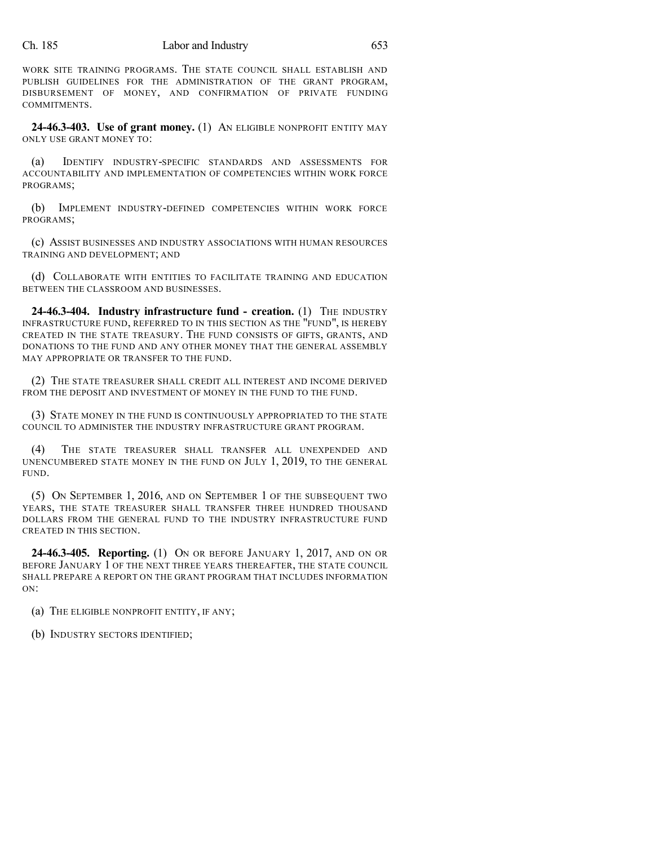WORK SITE TRAINING PROGRAMS. THE STATE COUNCIL SHALL ESTABLISH AND PUBLISH GUIDELINES FOR THE ADMINISTRATION OF THE GRANT PROGRAM, DISBURSEMENT OF MONEY, AND CONFIRMATION OF PRIVATE FUNDING COMMITMENTS.

**24-46.3-403. Use of grant money.** (1) AN ELIGIBLE NONPROFIT ENTITY MAY ONLY USE GRANT MONEY TO:

(a) IDENTIFY INDUSTRY-SPECIFIC STANDARDS AND ASSESSMENTS FOR ACCOUNTABILITY AND IMPLEMENTATION OF COMPETENCIES WITHIN WORK FORCE PROGRAMS;

(b) IMPLEMENT INDUSTRY-DEFINED COMPETENCIES WITHIN WORK FORCE PROGRAMS;

(c) ASSIST BUSINESSES AND INDUSTRY ASSOCIATIONS WITH HUMAN RESOURCES TRAINING AND DEVELOPMENT; AND

(d) COLLABORATE WITH ENTITIES TO FACILITATE TRAINING AND EDUCATION BETWEEN THE CLASSROOM AND BUSINESSES.

**24-46.3-404. Industry infrastructure fund - creation.** (1) THE INDUSTRY INFRASTRUCTURE FUND, REFERRED TO IN THIS SECTION AS THE "FUND", IS HEREBY CREATED IN THE STATE TREASURY. THE FUND CONSISTS OF GIFTS, GRANTS, AND DONATIONS TO THE FUND AND ANY OTHER MONEY THAT THE GENERAL ASSEMBLY MAY APPROPRIATE OR TRANSFER TO THE FUND.

(2) THE STATE TREASURER SHALL CREDIT ALL INTEREST AND INCOME DERIVED FROM THE DEPOSIT AND INVESTMENT OF MONEY IN THE FUND TO THE FUND.

(3) STATE MONEY IN THE FUND IS CONTINUOUSLY APPROPRIATED TO THE STATE COUNCIL TO ADMINISTER THE INDUSTRY INFRASTRUCTURE GRANT PROGRAM.

(4) THE STATE TREASURER SHALL TRANSFER ALL UNEXPENDED AND UNENCUMBERED STATE MONEY IN THE FUND ON JULY 1, 2019, TO THE GENERAL FUND.

(5) ON SEPTEMBER 1, 2016, AND ON SEPTEMBER 1 OF THE SUBSEQUENT TWO YEARS, THE STATE TREASURER SHALL TRANSFER THREE HUNDRED THOUSAND DOLLARS FROM THE GENERAL FUND TO THE INDUSTRY INFRASTRUCTURE FUND CREATED IN THIS SECTION.

**24-46.3-405. Reporting.** (1) ON OR BEFORE JANUARY 1, 2017, AND ON OR BEFORE JANUARY 1 OF THE NEXT THREE YEARS THEREAFTER, THE STATE COUNCIL SHALL PREPARE A REPORT ON THE GRANT PROGRAM THAT INCLUDES INFORMATION ON:

(a) THE ELIGIBLE NONPROFIT ENTITY, IF ANY;

(b) INDUSTRY SECTORS IDENTIFIED;